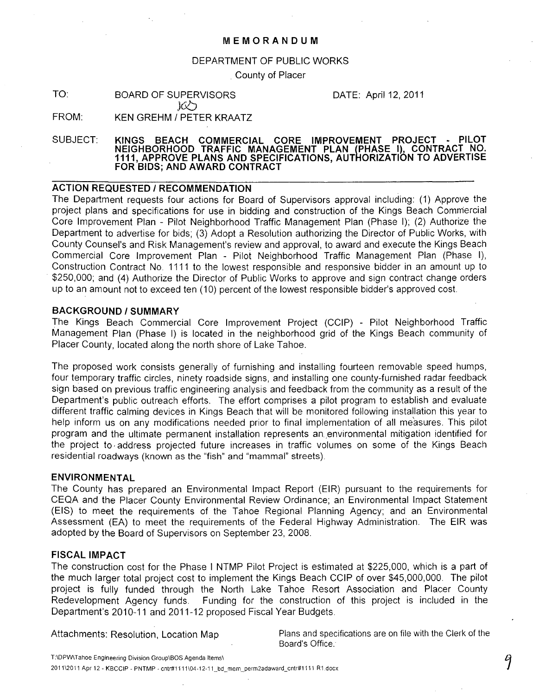### **MEMORANDUM**

#### DEPARTMENT OF PUBLIC WORKS

County of Placer

TO: BOARD OF SUPERVISORS  $JQD$ 

DATE: April 12, 2011

FROM: KEN GREHM / PETER KRAATZ

SUBJECT: **KINGS BEACH COMMERCIAL CORE IMPROVEMENT PROJECT - PILOT NEIGHBORHOOD TRAFFIC MANAGEMENT PLAN (PHASE I), CONTRACT NO. 1111, APPROVE PLANS AND SPECIFICATIONS, AUTHORIZATION TO ADVERTISE FOR BIDS; AND AWARD CONTRACT** 

### **ACTION REQUESTED / RECOMMENDATION**

The Department requests four actions for Board of Supervisors approval including: (1) Approve the project plans and specifications for use in bidding and construction of the Kings Beach Commercial Core Improvement Plan - Pilot Neighborhood Traffic Management Plan (Phase I); (2) Authorize the Department to advertise for bids; (3) Adopt a Resolution authorizing the Director of Public Works, with County Counsel's and Risk Management's review and approval, to award and execute the Kings Beach Commercial Core Improvement Plan - Pilot Neighborhood Traffic Management Plan (Phase I), Construction Contract No. 1111 to the lowest responsible and responsive bidder in an amount up to . \$250,000; and (4) Authorize the Director of Public Works to approve and sign contract change orders up to an amount not to exceed ten (10) percent of the lowest responsible bidder's approved cost.

## **BACKGROUND/SUMMARY**

The Kings Beach Commercial Core Improvement Project (CCIP) - Pilot Neighborhood Traffic Management Plan (Phase I) is located in the neighborhood grid of the Kings Beach community of Placer County, located along the north shore of Lake Tahoe.

The proposed work consists generally of furnishing and installing fourteen removable speed humps, four temporary traffic circles, ninety roadside signs, and installing one county-furnished radar feedback sign based on previous traffic engineering analysis and feedback from the community as a result of the Department's public outreach efforts. The effort comprises a pilot program to establish and evaluate different traffic calming devices in Kings Beach that will be monitored following installation this year to help inform us on any modifications needed prior to final implementation of all measures. This pilot program and the ultimate permanent installation represents an,environmental mitigation identified for the project to, address projected future increases in traffic volumes on some of the Kings Beach residential roadways (known as the "fish" and "mammal" streets).

#### **ENVIRONMENTAL**

The County has prepared an Environmental Impact Report (EIR) pursuant to the requirements for CEQA and the Placer County Environmental Review Ordinance; an Environmental Impact Statement (EIS) to meet the requirements of the Tahoe Regional Planning Agency; and an Environmental Assessment (EA) to meet the requirements of the Federal Highway Administration. The EIR was adopted by the Board of Supervisors on September 23, 2008.

### **FISCAL IMPACT**

The construction cost for the Phase I NTMP Pilot Project is estimated at \$225,000, which is a part of the much larger total project cost to implement the Kings Beach CCIP of over \$45,000,000. The pilot project is fully funded through the North Lake Tahoe Resort Association and Placer County Redevelopment Agency funds. Funding for the construction of this project is included in the Department's 2010-11 and 2011-12 proposed Fiscal Year Budgets.

Attachments: Resolution, Location Map

Plans and specifications are on file with the Clerk of the Board's Office.

T:\DPW\Tahoe Engineering Division Group\BOS Agenda Items\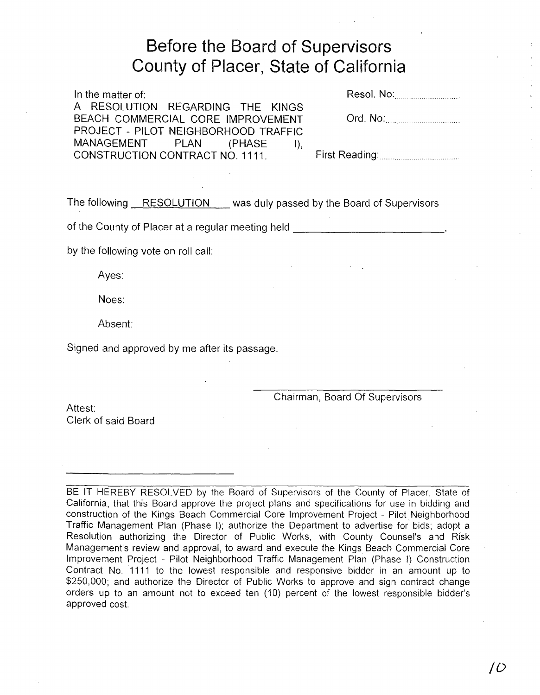# Before the Board of Supervisors County of Placer, State of California

| In the matter of:                    | Resol. No: <u></u>                    |
|--------------------------------------|---------------------------------------|
| A RESOLUTION REGARDING THE KINGS     |                                       |
| BEACH COMMERCIAL CORE IMPROVEMENT    | Ord. No: <u>________________</u> ____ |
| PROJECT - PILOT NEIGHBORHOOD TRAFFIC |                                       |
| MANAGEMENT PLAN (PHASE I),           |                                       |
| CONSTRUCTION CONTRACT NO. 1111.      |                                       |
|                                      |                                       |

The following RESOLUTION was duly passed by the Board of Supervisors

of the County of Placer at a regular meeting held  $\blacksquare$ 

by the following vote on roll call:

Ayes:

Noes:

Absent:

Signed and approved by me after its passage.

Chairman, Board Of Supervisors

Attest: Clerk of said Board

BE IT HEREBY RESOLVED by the Board of Supervisors of the County of Placer, State of California, that this Board approve the project plans and specifications for use in bidding and construction of the Kings Beach Commercial Core Improvement Project - Pilot Neighborhood Traffic Management Plan (Phase I); authorize the Department to advertise for' bids; adopt a Resolution authorizing the Director of Public Works, with County Counsel's and Risk Management's review and approval, to award and execute the Kings Beach Commercial Core Improvement Project - Pilot Neighborhood Traffic Management Plan (Phase I) Construction Contract No. 1111 to the lowest responsible and responsive bidder in an amount up to \$250,000; and authorize the Director of Public Works to approve and sign contract change orders up to an amount not to exceed ten (10) percent of the lowest responsible bidder's approved cost.